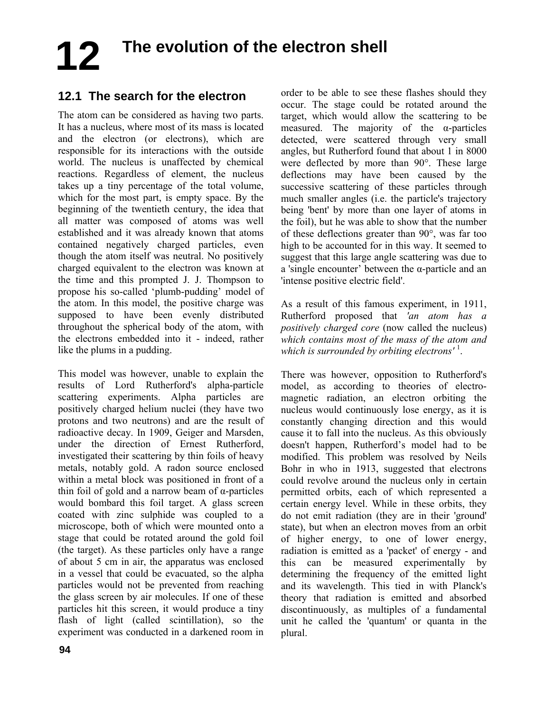# **The evolution of the electron shell 12**

## **12.1 The search for the electron**

The atom can be considered as having two parts. It has a nucleus, where most of its mass is located and the electron (or electrons), which are responsible for its interactions with the outside world. The nucleus is unaffected by chemical reactions. Regardless of element, the nucleus takes up a tiny percentage of the total volume, which for the most part, is empty space. By the beginning of the twentieth century, the idea that all matter was composed of atoms was well established and it was already known that atoms contained negatively charged particles, even though the atom itself was neutral. No positively charged equivalent to the electron was known at the time and this prompted J. J. Thompson to propose his so-called 'plumb-pudding' model of the atom. In this model, the positive charge was supposed to have been evenly distributed throughout the spherical body of the atom, with the electrons embedded into it - indeed, rather like the plums in a pudding.

This model was however, unable to explain the results of Lord Rutherford's alpha-particle scattering experiments. Alpha particles are positively charged helium nuclei (they have two protons and two neutrons) and are the result of radioactive decay. In 1909, Geiger and Marsden, under the direction of Ernest Rutherford, investigated their scattering by thin foils of heavy metals, notably gold. A radon source enclosed within a metal block was positioned in front of a thin foil of gold and a narrow beam of α-particles would bombard this foil target. A glass screen coated with zinc sulphide was coupled to a microscope, both of which were mounted onto a stage that could be rotated around the gold foil (the target). As these particles only have a range of about 5 cm in air, the apparatus was enclosed in a vessel that could be evacuated, so the alpha particles would not be prevented from reaching the glass screen by air molecules. If one of these particles hit this screen, it would produce a tiny flash of light (called scintillation), so the experiment was conducted in a darkened room in

order to be able to see these flashes should they occur. The stage could be rotated around the target, which would allow the scattering to be measured. The majority of the  $\alpha$ -particles detected, were scattered through very small angles, but Rutherford found that about 1 in 8000 were deflected by more than 90°. These large deflections may have been caused by the successive scattering of these particles through much smaller angles (i.e. the particle's trajectory being 'bent' by more than one layer of atoms in the foil), but he was able to show that the number of these deflections greater than 90°, was far too high to be accounted for in this way. It seemed to suggest that this large angle scattering was due to a 'single encounter' between the α-particle and an 'intense positive electric field'.

As a result of this famous experiment, in 1911, Rutherford proposed that *'an atom has a positively charged core* (now called the nucleus) *which contains most of the mass of the atom and which is surrounded by orbiting electrons'* <sup>1</sup> .

There was however, opposition to Rutherford's model, as according to theories of electromagnetic radiation, an electron orbiting the nucleus would continuously lose energy, as it is constantly changing direction and this would cause it to fall into the nucleus. As this obviously doesn't happen, Rutherford's model had to be modified. This problem was resolved by Neils Bohr in who in 1913, suggested that electrons could revolve around the nucleus only in certain permitted orbits, each of which represented a certain energy level. While in these orbits, they do not emit radiation (they are in their 'ground' state), but when an electron moves from an orbit of higher energy, to one of lower energy, radiation is emitted as a 'packet' of energy - and this can be measured experimentally by determining the frequency of the emitted light and its wavelength. This tied in with Planck's theory that radiation is emitted and absorbed discontinuously, as multiples of a fundamental unit he called the 'quantum' or quanta in the plural.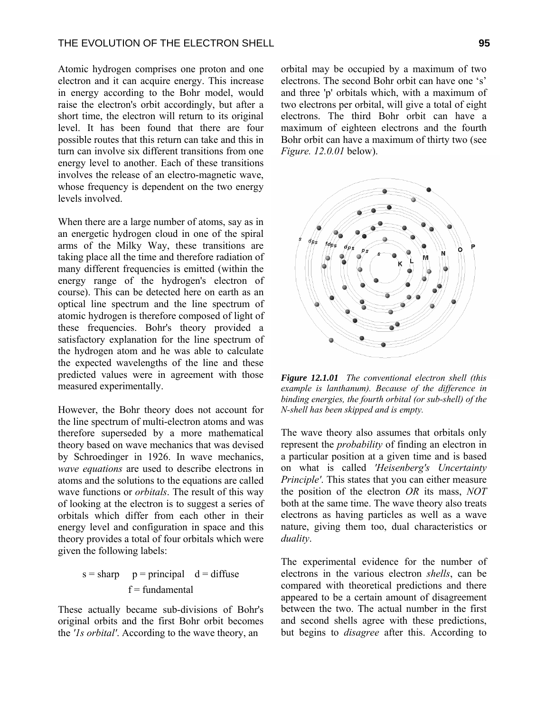Atomic hydrogen comprises one proton and one electron and it can acquire energy. This increase in energy according to the Bohr model, would raise the electron's orbit accordingly, but after a short time, the electron will return to its original level. It has been found that there are four possible routes that this return can take and this in turn can involve six different transitions from one energy level to another. Each of these transitions involves the release of an electro-magnetic wave, whose frequency is dependent on the two energy levels involved.

When there are a large number of atoms, say as in an energetic hydrogen cloud in one of the spiral arms of the Milky Way, these transitions are taking place all the time and therefore radiation of many different frequencies is emitted (within the energy range of the hydrogen's electron of course). This can be detected here on earth as an optical line spectrum and the line spectrum of atomic hydrogen is therefore composed of light of these frequencies. Bohr's theory provided a satisfactory explanation for the line spectrum of the hydrogen atom and he was able to calculate the expected wavelengths of the line and these predicted values were in agreement with those measured experimentally.

However, the Bohr theory does not account for the line spectrum of multi-electron atoms and was therefore superseded by a more mathematical theory based on wave mechanics that was devised by Schroedinger in 1926. In wave mechanics, *wave equations* are used to describe electrons in atoms and the solutions to the equations are called wave functions or *orbitals*. The result of this way of looking at the electron is to suggest a series of orbitals which differ from each other in their energy level and configuration in space and this theory provides a total of four orbitals which were given the following labels:

#### $s = sharp \t p = principal \t d = diffuse$  $f = \text{fundamental}$

These actually became sub-divisions of Bohr's original orbits and the first Bohr orbit becomes the *'1s orbital'*. According to the wave theory, an

orbital may be occupied by a maximum of two electrons. The second Bohr orbit can have one 's' and three 'p' orbitals which, with a maximum of two electrons per orbital, will give a total of eight electrons. The third Bohr orbit can have a maximum of eighteen electrons and the fourth Bohr orbit can have a maximum of thirty two (see *Figure. 12.0.01* below).



*Figure 12.1.01 The conventional electron shell (this example is lanthanum). Because of the difference in binding energies, the fourth orbital (or sub-shell) of the N-shell has been skipped and is empty.*

The wave theory also assumes that orbitals only represent the *probability* of finding an electron in a particular position at a given time and is based on what is called *'Heisenberg's Uncertainty Principle'*. This states that you can either measure the position of the electron *OR* its mass, *NOT* both at the same time. The wave theory also treats electrons as having particles as well as a wave nature, giving them too, dual characteristics or *duality*.

The experimental evidence for the number of electrons in the various electron *shells*, can be compared with theoretical predictions and there appeared to be a certain amount of disagreement between the two. The actual number in the first and second shells agree with these predictions, but begins to *disagree* after this. According to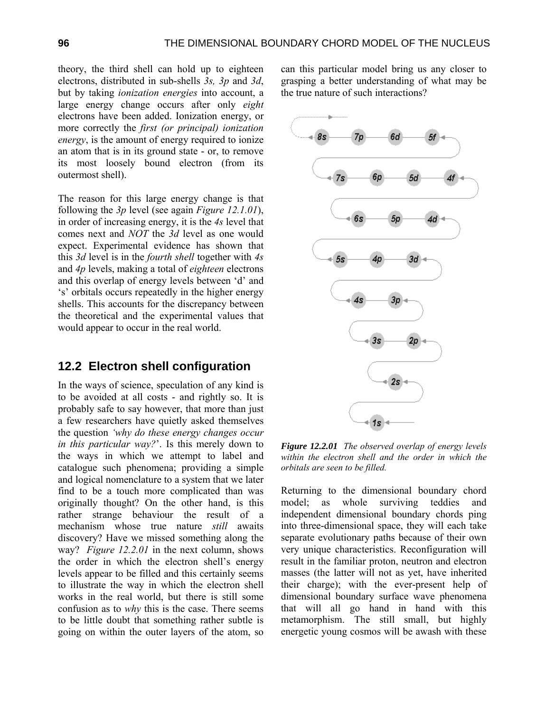theory, the third shell can hold up to eighteen electrons, distributed in sub-shells *3s, 3p* and *3d*, but by taking *ionization energies* into account, a large energy change occurs after only *eight* electrons have been added. Ionization energy, or more correctly the *first (or principal) ionization energy*, is the amount of energy required to ionize an atom that is in its ground state - or, to remove its most loosely bound electron (from its outermost shell).

The reason for this large energy change is that following the *3p* level (see again *Figure 12.1.01*), in order of increasing energy, it is the *4s* level that comes next and *NOT* the *3d* level as one would expect. Experimental evidence has shown that this *3d* level is in the *fourth shell* together with *4s* and *4p* levels, making a total of *eighteen* electrons and this overlap of energy levels between 'd' and 's' orbitals occurs repeatedly in the higher energy shells. This accounts for the discrepancy between the theoretical and the experimental values that would appear to occur in the real world.

#### **12.2 Electron shell configuration**

In the ways of science, speculation of any kind is to be avoided at all costs - and rightly so. It is probably safe to say however, that more than just a few researchers have quietly asked themselves the question *'why do these energy changes occur in this particular way?*'. Is this merely down to the ways in which we attempt to label and catalogue such phenomena; providing a simple and logical nomenclature to a system that we later find to be a touch more complicated than was originally thought? On the other hand, is this rather strange behaviour the result of a mechanism whose true nature *still* awaits discovery? Have we missed something along the way? *Figure 12.2.01* in the next column, shows the order in which the electron shell's energy levels appear to be filled and this certainly seems to illustrate the way in which the electron shell works in the real world, but there is still some confusion as to *why* this is the case. There seems to be little doubt that something rather subtle is going on within the outer layers of the atom, so can this particular model bring us any closer to grasping a better understanding of what may be the true nature of such interactions?



*Figure 12.2.01 The observed overlap of energy levels within the electron shell and the order in which the orbitals are seen to be filled.* 

Returning to the dimensional boundary chord model; as whole surviving teddies and independent dimensional boundary chords ping into three-dimensional space, they will each take separate evolutionary paths because of their own very unique characteristics. Reconfiguration will result in the familiar proton, neutron and electron masses (the latter will not as yet, have inherited their charge); with the ever-present help of dimensional boundary surface wave phenomena that will all go hand in hand with this metamorphism. The still small, but highly energetic young cosmos will be awash with these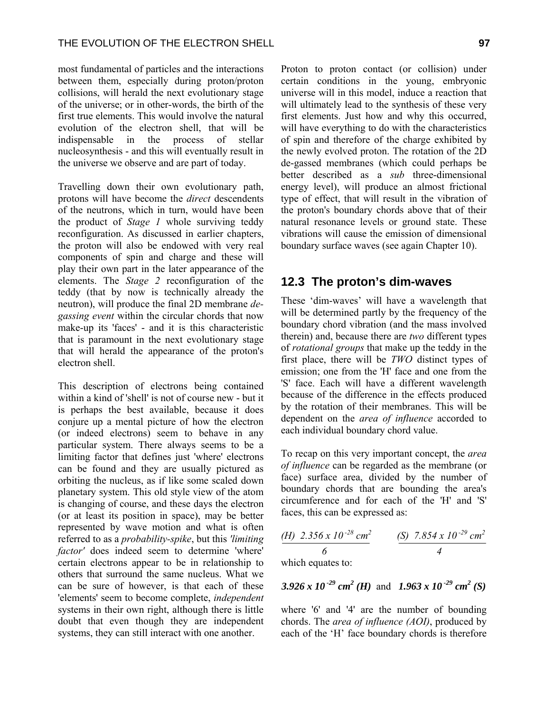most fundamental of particles and the interactions between them, especially during proton/proton collisions, will herald the next evolutionary stage of the universe; or in other-words, the birth of the first true elements. This would involve the natural evolution of the electron shell, that will be indispensable in the process of stellar nucleosynthesis - and this will eventually result in the universe we observe and are part of today.

Travelling down their own evolutionary path, protons will have become the *direct* descendents of the neutrons, which in turn, would have been the product of *Stage 1* whole surviving teddy reconfiguration. As discussed in earlier chapters, the proton will also be endowed with very real components of spin and charge and these will play their own part in the later appearance of the elements. The *Stage 2* reconfiguration of the teddy (that by now is technically already the neutron), will produce the final 2D membrane *degassing event* within the circular chords that now make-up its 'faces' - and it is this characteristic that is paramount in the next evolutionary stage that will herald the appearance of the proton's electron shell.

This description of electrons being contained within a kind of 'shell' is not of course new - but it is perhaps the best available, because it does conjure up a mental picture of how the electron (or indeed electrons) seem to behave in any particular system. There always seems to be a limiting factor that defines just 'where' electrons can be found and they are usually pictured as orbiting the nucleus, as if like some scaled down planetary system. This old style view of the atom is changing of course, and these days the electron (or at least its position in space), may be better represented by wave motion and what is often referred to as a *probability-spike*, but this *'limiting factor'* does indeed seem to determine 'where' certain electrons appear to be in relationship to others that surround the same nucleus. What we can be sure of however, is that each of these 'elements' seem to become complete, *independent* systems in their own right, although there is little doubt that even though they are independent systems, they can still interact with one another.

Proton to proton contact (or collision) under certain conditions in the young, embryonic universe will in this model, induce a reaction that will ultimately lead to the synthesis of these very first elements. Just how and why this occurred, will have everything to do with the characteristics of spin and therefore of the charge exhibited by the newly evolved proton. The rotation of the 2D de-gassed membranes (which could perhaps be better described as a *sub* three-dimensional energy level), will produce an almost frictional type of effect, that will result in the vibration of the proton's boundary chords above that of their natural resonance levels or ground state. These vibrations will cause the emission of dimensional boundary surface waves (see again Chapter 10).

#### **12.3 The proton's dim-waves**

These 'dim-waves' will have a wavelength that will be determined partly by the frequency of the boundary chord vibration (and the mass involved therein) and, because there are *two* different types of *rotational groups* that make up the teddy in the first place, there will be *TWO* distinct types of emission; one from the 'H' face and one from the 'S' face. Each will have a different wavelength because of the difference in the effects produced by the rotation of their membranes. This will be dependent on the *area of influence* accorded to each individual boundary chord value.

To recap on this very important concept, the *area of influence* can be regarded as the membrane (or face) surface area, divided by the number of boundary chords that are bounding the area's circumference and for each of the 'H' and 'S' faces, this can be expressed as:

$$
\frac{(H) 2.356 \times 10^{-28} \text{ cm}^2}{6} \qquad \qquad \frac{(S) 7.854 \times 10^{-29} \text{ cm}^2}{4}
$$

which equates to:

3.926 x 10<sup>-29</sup> cm<sup>2</sup> (*H*) and 1.963 x 10<sup>-29</sup> cm<sup>2</sup> (*S*)

where '6' and '4' are the number of bounding chords. The *area of influence (AOI)*, produced by each of the 'H' face boundary chords is therefore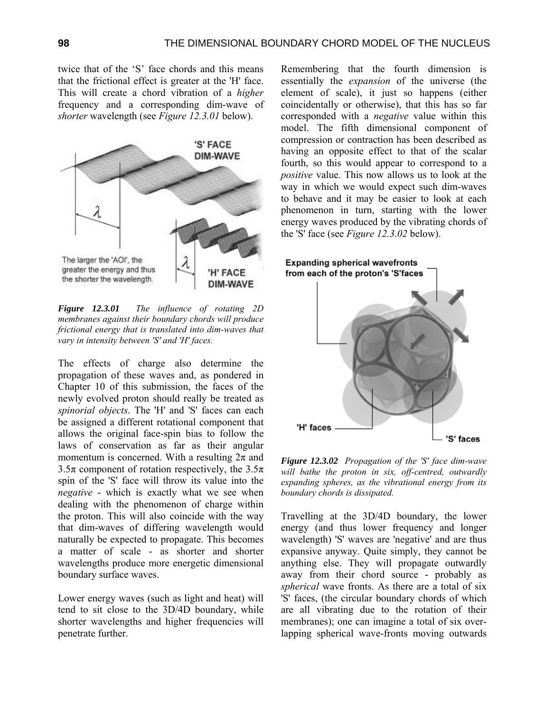twice that of the 'S' face chords and this means that the frictional effect is greater at the 'H' face. This will create a chord vibration of a *higher* frequency and a corresponding dim-wave of *shorter* wavelength (see *Figure 12.3.01* below).



*Figure 12.3.01 The influence of rotating 2D membranes against their boundary chords will produce frictional energy that is translated into dim-waves that vary in intensity between 'S' and 'H' faces.* 

The effects of charge also determine the propagation of these waves and, as pondered in Chapter 10 of this submission, the faces of the newly evolved proton should really be treated as *spinorial objects*. The 'H' and 'S' faces can each be assigned a different rotational component that allows the original face-spin bias to follow the laws of conservation as far as their angular momentum is concerned. With a resulting  $2\pi$  and 3.5 $\pi$  component of rotation respectively, the 3.5 $\pi$ spin of the 'S' face will throw its value into the *negative* - which is exactly what we see when dealing with the phenomenon of charge within the proton. This will also coincide with the way that dim-waves of differing wavelength would naturally be expected to propagate. This becomes a matter of scale - as shorter and shorter wavelengths produce more energetic dimensional boundary surface waves.

Lower energy waves (such as light and heat) will tend to sit close to the 3D/4D boundary, while shorter wavelengths and higher frequencies will penetrate further.

Remembering that the fourth dimension is essentially the *expansion* of the universe (the element of scale), it just so happens (either coincidentally or otherwise), that this has so far corresponded with a *negative* value within this model. The fifth dimensional component of compression or contraction has been described as having an opposite effect to that of the scalar fourth, so this would appear to correspond to a *positive* value. This now allows us to look at the way in which we would expect such dim-waves to behave and it may be easier to look at each phenomenon in turn, starting with the lower energy waves produced by the vibrating chords of the 'S' face (see *Figure 12.3.02* below).



*Figure 12.3.02 Propagation of the 'S' face dim-wave will bathe the proton in six, off-centred, outwardly expanding spheres, as the vibrational energy from its boundary chords is dissipated.* 

Travelling at the 3D/4D boundary, the lower energy (and thus lower frequency and longer wavelength) 'S' waves are 'negative' and are thus expansive anyway. Quite simply, they cannot be anything else. They will propagate outwardly away from their chord source - probably as *spherical* wave fronts. As there are a total of six 'S' faces, (the circular boundary chords of which are all vibrating due to the rotation of their membranes); one can imagine a total of six overlapping spherical wave-fronts moving outwards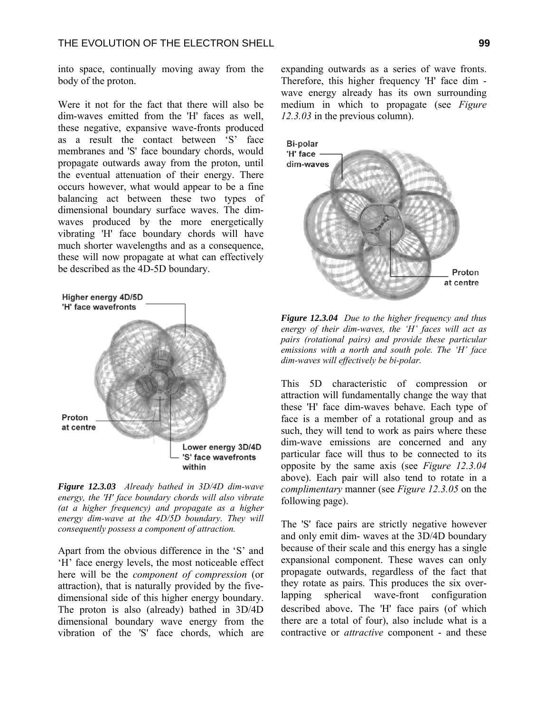into space, continually moving away from the body of the proton.

Were it not for the fact that there will also be dim-waves emitted from the 'H' faces as well, these negative, expansive wave-fronts produced as a result the contact between 'S' face membranes and 'S' face boundary chords, would propagate outwards away from the proton, until the eventual attenuation of their energy. There occurs however, what would appear to be a fine balancing act between these two types of dimensional boundary surface waves. The dimwaves produced by the more energetically vibrating 'H' face boundary chords will have much shorter wavelengths and as a consequence, these will now propagate at what can effectively be described as the 4D-5D boundary.



*Figure 12.3.03 Already bathed in 3D/4D dim-wave energy, the 'H' face boundary chords will also vibrate (at a higher frequency) and propagate as a higher energy dim-wave at the 4D/5D boundary. They will consequently possess a component of attraction.* 

Apart from the obvious difference in the 'S' and 'H' face energy levels, the most noticeable effect here will be the *component of compression* (or attraction), that is naturally provided by the fivedimensional side of this higher energy boundary. The proton is also (already) bathed in 3D/4D dimensional boundary wave energy from the vibration of the 'S' face chords, which are expanding outwards as a series of wave fronts. Therefore, this higher frequency 'H' face dim wave energy already has its own surrounding medium in which to propagate (see *Figure 12.3.03* in the previous column).



*Figure 12.3.04 Due to the higher frequency and thus energy of their dim-waves, the 'H' faces will act as pairs (rotational pairs) and provide these particular emissions with a north and south pole. The 'H' face dim-waves will effectively be bi-polar.*

This 5D characteristic of compression or attraction will fundamentally change the way that these 'H' face dim-waves behave. Each type of face is a member of a rotational group and as such, they will tend to work as pairs where these dim-wave emissions are concerned and any particular face will thus to be connected to its opposite by the same axis (see *Figure 12.3.04*  above). Each pair will also tend to rotate in a *complimentary* manner (see *Figure 12.3.05* on the following page).

The 'S' face pairs are strictly negative however and only emit dim- waves at the 3D/4D boundary because of their scale and this energy has a single expansional component. These waves can only propagate outwards, regardless of the fact that they rotate as pairs. This produces the six overlapping spherical wave-front configuration described above. The 'H' face pairs (of which there are a total of four), also include what is a contractive or *attractive* component - and these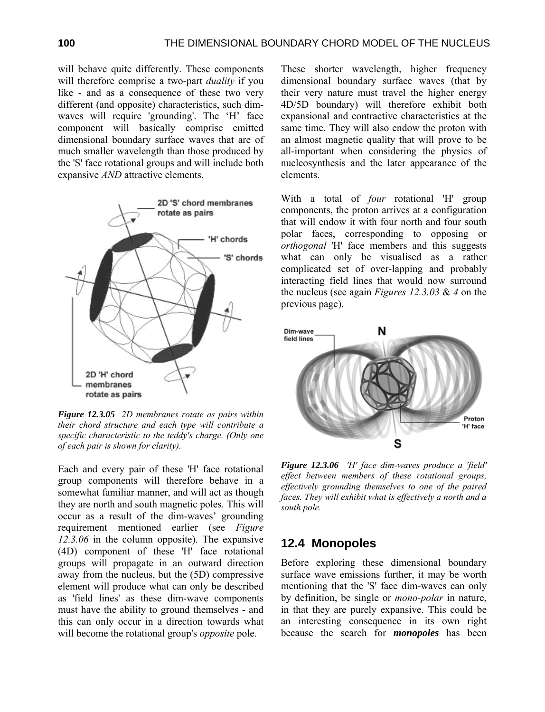will behave quite differently. These components will therefore comprise a two-part *duality* if you like - and as a consequence of these two very different (and opposite) characteristics, such dimwaves will require 'grounding'. The 'H' face component will basically comprise emitted dimensional boundary surface waves that are of much smaller wavelength than those produced by the 'S' face rotational groups and will include both expansive *AND* attractive elements.



*Figure 12.3.05 2D membranes rotate as pairs within their chord structure and each type will contribute a specific characteristic to the teddy's charge. (Only one of each pair is shown for clarity).* 

Each and every pair of these 'H' face rotational group components will therefore behave in a somewhat familiar manner, and will act as though they are north and south magnetic poles. This will occur as a result of the dim-waves' grounding requirement mentioned earlier (see *Figure 12.3.06* in the column opposite). The expansive (4D) component of these 'H' face rotational groups will propagate in an outward direction away from the nucleus, but the (5D) compressive element will produce what can only be described as 'field lines' as these dim-wave components must have the ability to ground themselves - and this can only occur in a direction towards what will become the rotational group's *opposite* pole.

These shorter wavelength, higher frequency dimensional boundary surface waves (that by their very nature must travel the higher energy 4D/5D boundary) will therefore exhibit both expansional and contractive characteristics at the same time. They will also endow the proton with an almost magnetic quality that will prove to be all-important when considering the physics of nucleosynthesis and the later appearance of the elements.

With a total of *four* rotational 'H' group components, the proton arrives at a configuration that will endow it with four north and four south polar faces, corresponding to opposing or *orthogonal* 'H' face members and this suggests what can only be visualised as a rather complicated set of over-lapping and probably interacting field lines that would now surround the nucleus (see again *Figures 12.3.03* & *4* on the previous page).



*Figure 12.3.06 'H' face dim-waves produce a 'field' effect between members of these rotational groups, effectively grounding themselves to one of the paired faces. They will exhibit what is effectively a north and a south pole.* 

#### **12.4 Monopoles**

Before exploring these dimensional boundary surface wave emissions further, it may be worth mentioning that the 'S' face dim-waves can only by definition, be single or *mono-polar* in nature, in that they are purely expansive. This could be an interesting consequence in its own right because the search for *monopoles* has been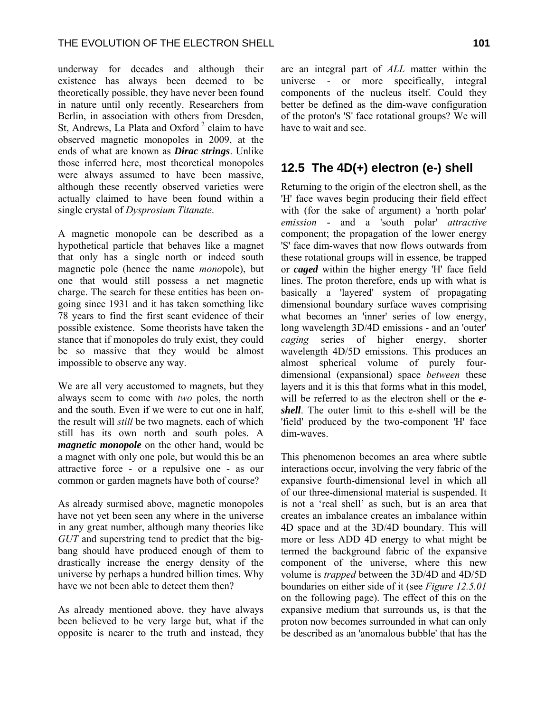underway for decades and although their existence has always been deemed to be theoretically possible, they have never been found in nature until only recently. Researchers from Berlin, in association with others from Dresden, St. Andrews, La Plata and Oxford<sup>2</sup> claim to have observed magnetic monopoles in 2009, at the ends of what are known as *Dirac strings*. Unlike those inferred here, most theoretical monopoles were always assumed to have been massive, although these recently observed varieties were actually claimed to have been found within a single crystal of *Dysprosium Titanate*.

A magnetic monopole can be described as a hypothetical particle that behaves like a magnet that only has a single north or indeed south magnetic pole (hence the name *mono*pole), but one that would still possess a net magnetic charge. The search for these entities has been ongoing since 1931 and it has taken something like 78 years to find the first scant evidence of their possible existence. Some theorists have taken the stance that if monopoles do truly exist, they could be so massive that they would be almost impossible to observe any way.

We are all very accustomed to magnets, but they always seem to come with *two* poles, the north and the south. Even if we were to cut one in half, the result will *still* be two magnets, each of which still has its own north and south poles. A *magnetic monopole* on the other hand, would be a magnet with only one pole, but would this be an attractive force - or a repulsive one - as our common or garden magnets have both of course?

As already surmised above, magnetic monopoles have not yet been seen any where in the universe in any great number, although many theories like *GUT* and superstring tend to predict that the bigbang should have produced enough of them to drastically increase the energy density of the universe by perhaps a hundred billion times. Why have we not been able to detect them then?

As already mentioned above, they have always been believed to be very large but, what if the opposite is nearer to the truth and instead, they

are an integral part of *ALL* matter within the universe - or more specifically, integral components of the nucleus itself. Could they better be defined as the dim-wave configuration of the proton's 'S' face rotational groups? We will have to wait and see.

### **12.5 The 4D(+) electron (e-) shell**

Returning to the origin of the electron shell, as the 'H' face waves begin producing their field effect with (for the sake of argument) a 'north polar' *emission* - and a 'south polar' *attractive* component; the propagation of the lower energy 'S' face dim-waves that now flows outwards from these rotational groups will in essence, be trapped or *caged* within the higher energy 'H' face field lines. The proton therefore, ends up with what is basically a 'layered' system of propagating dimensional boundary surface waves comprising what becomes an 'inner' series of low energy, long wavelength 3D/4D emissions - and an 'outer' *caging* series of higher energy, shorter wavelength 4D/5D emissions. This produces an almost spherical volume of purely fourdimensional (expansional) space *between* these layers and it is this that forms what in this model, will be referred to as the electron shell or the *eshell*. The outer limit to this e-shell will be the 'field' produced by the two-component 'H' face dim-waves.

This phenomenon becomes an area where subtle interactions occur, involving the very fabric of the expansive fourth-dimensional level in which all of our three-dimensional material is suspended. It is not a 'real shell' as such, but is an area that creates an imbalance creates an imbalance within 4D space and at the 3D/4D boundary. This will more or less ADD 4D energy to what might be termed the background fabric of the expansive component of the universe, where this new volume is *trapped* between the 3D/4D and 4D/5D boundaries on either side of it (see *Figure 12.5.01*  on the following page). The effect of this on the expansive medium that surrounds us, is that the proton now becomes surrounded in what can only be described as an 'anomalous bubble' that has the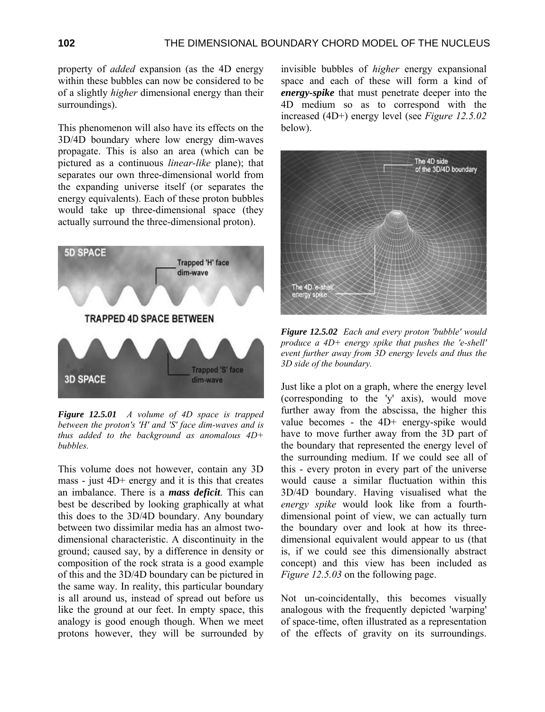property of *added* expansion (as the 4D energy within these bubbles can now be considered to be of a slightly *higher* dimensional energy than their surroundings).

This phenomenon will also have its effects on the 3D/4D boundary where low energy dim-waves propagate. This is also an area (which can be pictured as a continuous *linear-like* plane); that separates our own three-dimensional world from the expanding universe itself (or separates the energy equivalents). Each of these proton bubbles would take up three-dimensional space (they actually surround the three-dimensional proton).



*Figure 12.5.01 A volume of 4D space is trapped between the proton's 'H' and 'S' face dim-waves and is thus added to the background as anomalous 4D+ bubbles.* 

This volume does not however, contain any 3D mass - just 4D+ energy and it is this that creates an imbalance. There is a *mass deficit*. This can best be described by looking graphically at what this does to the 3D/4D boundary. Any boundary between two dissimilar media has an almost twodimensional characteristic. A discontinuity in the ground; caused say, by a difference in density or composition of the rock strata is a good example of this and the 3D/4D boundary can be pictured in the same way. In reality, this particular boundary is all around us, instead of spread out before us like the ground at our feet. In empty space, this analogy is good enough though. When we meet protons however, they will be surrounded by

invisible bubbles of *higher* energy expansional space and each of these will form a kind of *energy-spike* that must penetrate deeper into the 4D medium so as to correspond with the increased (4D+) energy level (see *Figure 12.5.02* below).



*Figure 12.5.02 Each and every proton 'bubble' would produce a 4D+ energy spike that pushes the 'e-shell' event further away from 3D energy levels and thus the 3D side of the boundary.* 

Just like a plot on a graph, where the energy level (corresponding to the 'y' axis), would move further away from the abscissa, the higher this value becomes - the 4D+ energy-spike would have to move further away from the 3D part of the boundary that represented the energy level of the surrounding medium. If we could see all of this - every proton in every part of the universe would cause a similar fluctuation within this 3D/4D boundary. Having visualised what the *energy spike* would look like from a fourthdimensional point of view, we can actually turn the boundary over and look at how its threedimensional equivalent would appear to us (that is, if we could see this dimensionally abstract concept) and this view has been included as *Figure 12.5.03* on the following page.

Not un-coincidentally, this becomes visually analogous with the frequently depicted 'warping' of space-time, often illustrated as a representation of the effects of gravity on its surroundings.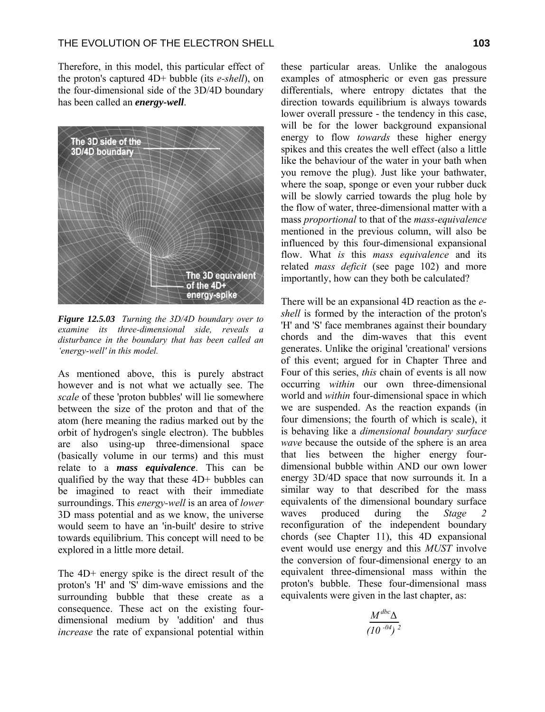Therefore, in this model, this particular effect of the proton's captured 4D+ bubble (its *e-shell*), on the four-dimensional side of the 3D/4D boundary has been called an *energy-well*.



*Figure 12.5.03 Turning the 3D/4D boundary over to examine its three-dimensional side, reveals a disturbance in the boundary that has been called an 'energy-well' in this model.* 

As mentioned above, this is purely abstract however and is not what we actually see. The *scale* of these 'proton bubbles' will lie somewhere between the size of the proton and that of the atom (here meaning the radius marked out by the orbit of hydrogen's single electron). The bubbles are also using-up three-dimensional space (basically volume in our terms) and this must relate to a *mass equivalence*. This can be qualified by the way that these 4D+ bubbles can be imagined to react with their immediate surroundings. This *energy-well* is an area of *lower* 3D mass potential and as we know, the universe would seem to have an 'in-built' desire to strive towards equilibrium. This concept will need to be explored in a little more detail.

The 4D+ energy spike is the direct result of the proton's 'H' and 'S' dim-wave emissions and the surrounding bubble that these create as a consequence. These act on the existing fourdimensional medium by 'addition' and thus *increase* the rate of expansional potential within

these particular areas. Unlike the analogous examples of atmospheric or even gas pressure differentials, where entropy dictates that the direction towards equilibrium is always towards lower overall pressure - the tendency in this case, will be for the lower background expansional energy to flow *towards* these higher energy spikes and this creates the well effect (also a little like the behaviour of the water in your bath when you remove the plug). Just like your bathwater, where the soap, sponge or even your rubber duck will be slowly carried towards the plug hole by the flow of water, three-dimensional matter with a mass *proportional* to that of the *mass-equivalence* mentioned in the previous column, will also be influenced by this four-dimensional expansional flow. What *is* this *mass equivalence* and its related *mass deficit* (see page 102) and more importantly, how can they both be calculated?

There will be an expansional 4D reaction as the *eshell* is formed by the interaction of the proton's 'H' and 'S' face membranes against their boundary chords and the dim-waves that this event generates. Unlike the original 'creational' versions of this event; argued for in Chapter Three and Four of this series, *this* chain of events is all now occurring *within* our own three-dimensional world and *within* four-dimensional space in which we are suspended. As the reaction expands (in four dimensions; the fourth of which is scale), it is behaving like a *dimensional boundary surface wave* because the outside of the sphere is an area that lies between the higher energy fourdimensional bubble within AND our own lower energy 3D/4D space that now surrounds it. In a similar way to that described for the mass equivalents of the dimensional boundary surface waves produced during the *Stage 2* reconfiguration of the independent boundary chords (see Chapter 11), this 4D expansional event would use energy and this *MUST* involve the conversion of four-dimensional energy to an equivalent three-dimensional mass within the proton's bubble. These four-dimensional mass equivalents were given in the last chapter, as:

$$
\frac{M^{dbc}\Delta}{(10^{-04})^2}
$$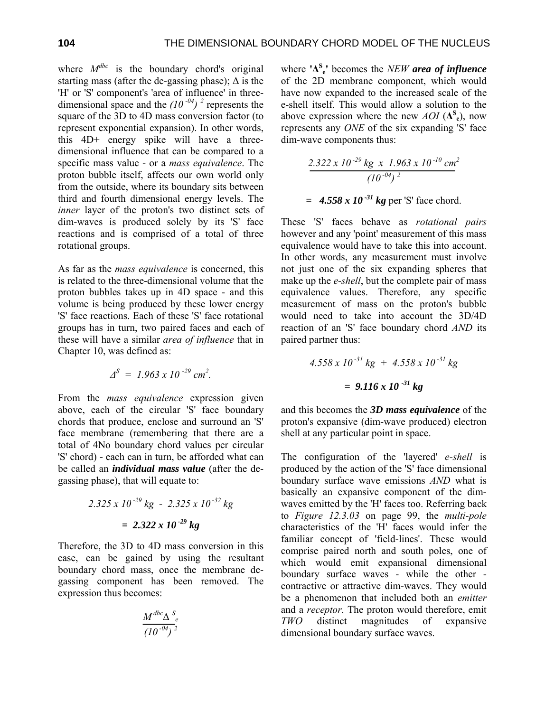where  $M^{dbc}$  is the boundary chord's original starting mass (after the de-gassing phase);  $\Delta$  is the 'H' or 'S' component's 'area of influence' in threedimensional space and the  $(10^{-04})^2$  represents the square of the 3D to 4D mass conversion factor (to represent exponential expansion). In other words, this 4D+ energy spike will have a threedimensional influence that can be compared to a specific mass value - or a *mass equivalence*. The proton bubble itself, affects our own world only from the outside, where its boundary sits between third and fourth dimensional energy levels. The *inner* layer of the proton's two distinct sets of dim-waves is produced solely by its 'S' face reactions and is comprised of a total of three rotational groups.

As far as the *mass equivalence* is concerned, this is related to the three-dimensional volume that the proton bubbles takes up in 4D space - and this volume is being produced by these lower energy 'S' face reactions. Each of these 'S' face rotational groups has in turn, two paired faces and each of these will have a similar *area of influence* that in Chapter 10, was defined as:

$$
\Delta^S = 1.963 \times 10^{-29} \text{ cm}^2.
$$

From the *mass equivalence* expression given above, each of the circular 'S' face boundary chords that produce, enclose and surround an 'S' face membrane (remembering that there are a total of 4No boundary chord values per circular 'S' chord) - each can in turn, be afforded what can be called an *individual mass value* (after the degassing phase), that will equate to:

$$
2.325 \times 10^{-29} \text{ kg} - 2.325 \times 10^{-32} \text{ kg}
$$

$$
= 2.322 \times 10^{-29} \text{ kg}
$$

Therefore, the 3D to 4D mass conversion in this case, can be gained by using the resultant boundary chord mass, once the membrane degassing component has been removed. The expression thus becomes:

$$
\frac{M^{dbc}\Delta^S}{(10^{-04})^2}
$$

where **'∆<sup>S</sup> <sup>e</sup>'** becomes the *NEW area of influence* of the 2D membrane component, which would have now expanded to the increased scale of the e-shell itself. This would allow a solution to the above expression where the new  $AOI(\Delta^{\mathbf{S}}_{e}),$  now represents any *ONE* of the six expanding 'S' face dim-wave components thus:

$$
\frac{2.322 \times 10^{-29} \text{ kg} \times 1.963 \times 10^{-10} \text{ cm}^2}{(10^{-04})^2}
$$
  
= 4.558 x 10<sup>-31</sup> kg per 'S' face chord.

These 'S' faces behave as *rotational pairs* however and any 'point' measurement of this mass equivalence would have to take this into account. In other words, any measurement must involve not just one of the six expanding spheres that make up the *e-shell*, but the complete pair of mass equivalence values. Therefore, any specific measurement of mass on the proton's bubble would need to take into account the 3D/4D reaction of an 'S' face boundary chord *AND* its paired partner thus:

$$
4.558 \times 10^{-31} \text{ kg} + 4.558 \times 10^{-31} \text{ kg}
$$

$$
= 9.116 \times 10^{-31} \text{ kg}
$$

and this becomes the *3D mass equivalence* of the proton's expansive (dim-wave produced) electron shell at any particular point in space.

The configuration of the 'layered' *e-shell* is produced by the action of the 'S' face dimensional boundary surface wave emissions *AND* what is basically an expansive component of the dimwaves emitted by the 'H' faces too. Referring back to *Figure 12.3.03* on page 99, the *multi-pole* characteristics of the 'H' faces would infer the familiar concept of 'field-lines'. These would comprise paired north and south poles, one of which would emit expansional dimensional boundary surface waves - while the other contractive or attractive dim-waves. They would be a phenomenon that included both an *emitter* and a *receptor*. The proton would therefore, emit *TWO* distinct magnitudes of expansive dimensional boundary surface waves.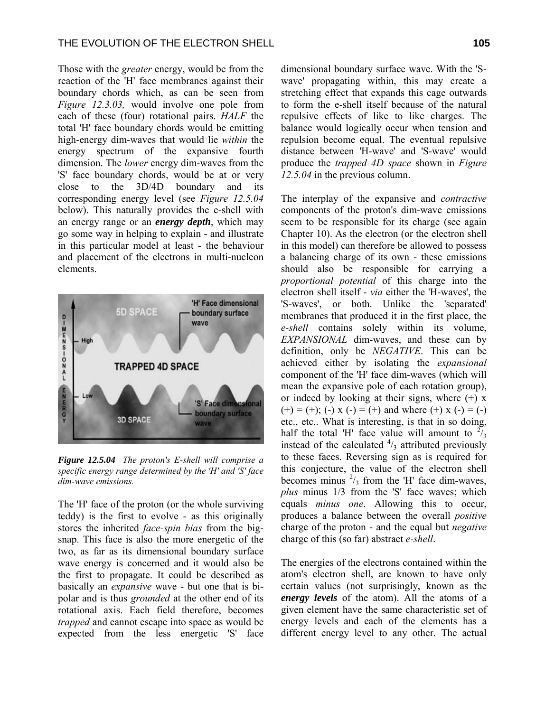Those with the *greater* energy, would be from the reaction of the 'H' face membranes against their boundary chords which, as can be seen from *Figure 12.3.03,* would involve one pole from each of these (four) rotational pairs. *HALF* the total 'H' face boundary chords would be emitting high-energy dim-waves that would lie *within* the energy spectrum of the expansive fourth dimension. The *lower* energy dim-waves from the 'S' face boundary chords, would be at or very close to the 3D/4D boundary and its corresponding energy level (see *Figure 12.5.04* below). This naturally provides the e-shell with an energy range or an *energy depth*, which may go some way in helping to explain - and illustrate in this particular model at least - the behaviour and placement of the electrons in multi-nucleon elements.



*Figure 12.5.04 The proton's E-shell will comprise a specific energy range determined by the 'H' and 'S' face dim-wave emissions.* 

The 'H' face of the proton (or the whole surviving teddy) is the first to evolve - as this originally stores the inherited *face-spin bias* from the bigsnap. This face is also the more energetic of the two, as far as its dimensional boundary surface wave energy is concerned and it would also be the first to propagate. It could be described as basically an *expansive* wave - but one that is bipolar and is thus *grounded* at the other end of its rotational axis. Each field therefore, becomes *trapped* and cannot escape into space as would be expected from the less energetic 'S' face dimensional boundary surface wave. With the 'Swave' propagating within, this may create a stretching effect that expands this cage outwards to form the e-shell itself because of the natural repulsive effects of like to like charges. The balance would logically occur when tension and repulsion become equal. The eventual repulsive distance between 'H-wave' and 'S-wave' would produce the *trapped 4D space* shown in *Figure 12.5.04* in the previous column.

The interplay of the expansive and *contractive* components of the proton's dim-wave emissions seem to be responsible for its charge (see again Chapter 10). As the electron (or the electron shell in this model) can therefore be allowed to possess a balancing charge of its own - these emissions should also be responsible for carrying a *proportional potential* of this charge into the electron shell itself - *via* either the 'H-waves', the 'S-waves', or both. Unlike the 'separated' membranes that produced it in the first place, the *e-shell* contains solely within its volume, *EXPANSIONAL* dim-waves, and these can by definition, only be *NEGATIVE*. This can be achieved either by isolating the *expansional* component of the 'H' face dim-waves (which will mean the expansive pole of each rotation group), or indeed by looking at their signs, where  $(+)$  x  $(+) = (+)$ ; (-) x (-) = (+) and where (+) x (-) = (-) etc., etc.. What is interesting, is that in so doing, half the total 'H' face value will amount to  $\frac{27}{3}$ instead of the calculated  $\frac{4}{3}$  attributed previously to these faces. Reversing sign as is required for this conjecture, the value of the electron shell becomes minus  $\frac{2}{3}$  from the 'H' face dim-waves, *plus* minus 1/3 from the 'S' face waves; which equals *minus one*. Allowing this to occur, produces a balance between the overall *positive* charge of the proton - and the equal but *negative* charge of this (so far) abstract *e-shell*.

The energies of the electrons contained within the atom's electron shell, are known to have only certain values (not surprisingly, known as the *energy levels* of the atom). All the atoms of a given element have the same characteristic set of energy levels and each of the elements has a different energy level to any other. The actual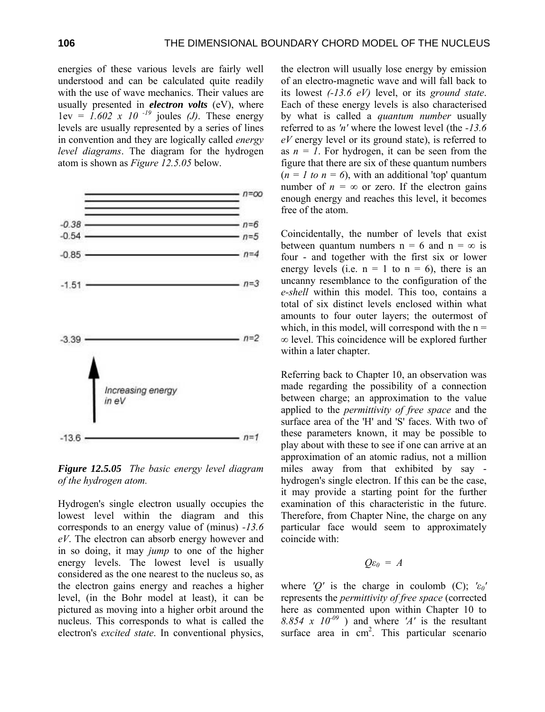energies of these various levels are fairly well understood and can be calculated quite readily with the use of wave mechanics. Their values are usually presented in *electron volts* (eV), where  $1 \text{ev} = 1.602 \times 10^{-19}$  joules *(J)*. These energy levels are usually represented by a series of lines in convention and they are logically called *energy level diagrams*. The diagram for the hydrogen atom is shown as *Figure 12.5.05* below.



*Figure 12.5.05 The basic energy level diagram of the hydrogen atom.* 

Hydrogen's single electron usually occupies the lowest level within the diagram and this corresponds to an energy value of (minus) *-13.6 eV*. The electron can absorb energy however and in so doing, it may *jump* to one of the higher energy levels. The lowest level is usually considered as the one nearest to the nucleus so, as the electron gains energy and reaches a higher level, (in the Bohr model at least), it can be pictured as moving into a higher orbit around the nucleus. This corresponds to what is called the electron's *excited state*. In conventional physics,

the electron will usually lose energy by emission of an electro-magnetic wave and will fall back to its lowest *(-13.6 eV)* level, or its *ground state*. Each of these energy levels is also characterised by what is called a *quantum number* usually referred to as *'n'* where the lowest level (the *-13.6 eV* energy level or its ground state), is referred to as  $n = 1$ . For hydrogen, it can be seen from the figure that there are six of these quantum numbers  $(n = 1 \text{ to } n = 6)$ , with an additional 'top' quantum number of  $n = \infty$  or zero. If the electron gains enough energy and reaches this level, it becomes free of the atom.

Coincidentally, the number of levels that exist between quantum numbers  $n = 6$  and  $n = \infty$  is four - and together with the first six or lower energy levels (i.e.  $n = 1$  to  $n = 6$ ), there is an uncanny resemblance to the configuration of the *e-shell* within this model. This too, contains a total of six distinct levels enclosed within what amounts to four outer layers; the outermost of which, in this model, will correspond with the  $n =$ ∞ level. This coincidence will be explored further within a later chapter.

Referring back to Chapter 10, an observation was made regarding the possibility of a connection between charge; an approximation to the value applied to the *permittivity of free space* and the surface area of the 'H' and 'S' faces. With two of these parameters known, it may be possible to play about with these to see if one can arrive at an approximation of an atomic radius, not a million miles away from that exhibited by say hydrogen's single electron. If this can be the case, it may provide a starting point for the further examination of this characteristic in the future. Therefore, from Chapter Nine, the charge on any particular face would seem to approximately coincide with:

$$
Q\varepsilon_0 = A
$$

where *'Q'* is the charge in coulomb (C);  $\epsilon_0$ ' represents the *permittivity of free space* (corrected here as commented upon within Chapter 10 to 8.854 x  $10^{-09}$  ) and where 'A' is the resultant surface area in  $cm<sup>2</sup>$ . This particular scenario